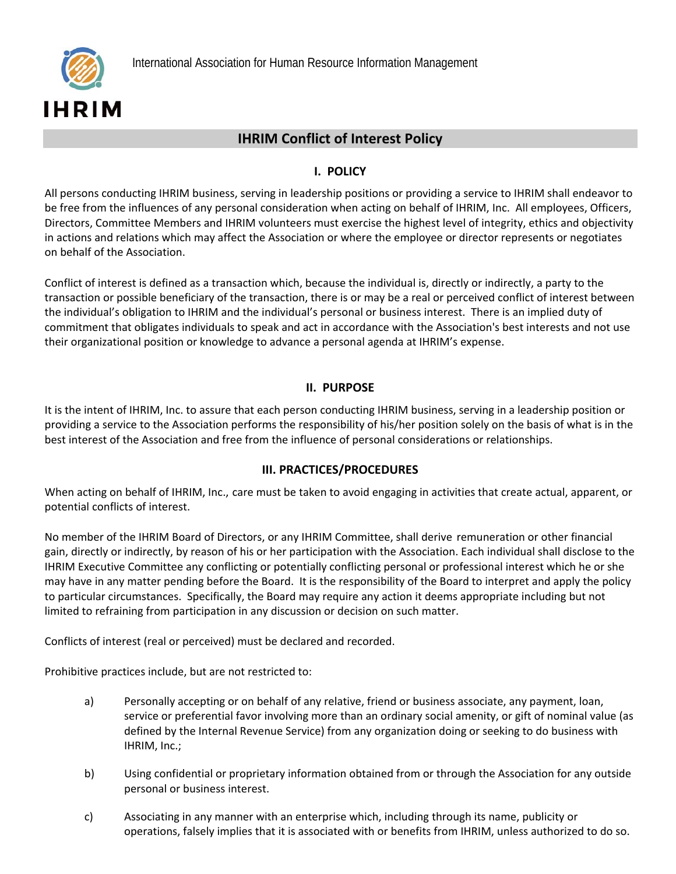## **IHRIM Conflict of Interest Policy**

## **I. POLICY**

All persons conducting IHRIM business, serving in leadership positions or providing a service to IHRIM shall endeavor to be free from the influences of any personal consideration when acting on behalf of IHRIM, Inc. All employees, Officers, Directors, Committee Members and IHRIM volunteers must exercise the highest level of integrity, ethics and objectivity in actions and relations which may affect the Association or where the employee or director represents or negotiates on behalf of the Association.

Conflict of interest is defined as a transaction which, because the individual is, directly or indirectly, a party to the transaction or possible beneficiary of the transaction, there is or may be a real or perceived conflict of interest between the individual's obligation to IHRIM and the individual's personal or business interest. There is an implied duty of commitment that obligates individuals to speak and act in accordance with the Association's best interests and not use their organizational position or knowledge to advance a personal agenda at IHRIM's expense.

## **II. PURPOSE**

It is the intent of IHRIM, Inc. to assure that each person conducting IHRIM business, serving in a leadership position or providing a service to the Association performs the responsibility of his/her position solely on the basis of what is in the best interest of the Association and free from the influence of personal considerations or relationships.

## **III. PRACTICES/PROCEDURES**

When acting on behalf of IHRIM, Inc., care must be taken to avoid engaging in activities that create actual, apparent, or potential conflicts of interest.

No member of the IHRIM Board of Directors, or any IHRIM Committee, shall derive remuneration or other financial gain, directly or indirectly, by reason of his or her participation with the Association. Each individual shall disclose to the IHRIM Executive Committee any conflicting or potentially conflicting personal or professional interest which he or she may have in any matter pending before the Board. It is the responsibility of the Board to interpret and apply the policy to particular circumstances. Specifically, the Board may require any action it deems appropriate including but not limited to refraining from participation in any discussion or decision on such matter.

Conflicts of interest (real or perceived) must be declared and recorded.

Prohibitive practices include, but are not restricted to:

- a) Personally accepting or on behalf of any relative, friend or business associate, any payment, loan, service or preferential favor involving more than an ordinary social amenity, or gift of nominal value (as defined by the Internal Revenue Service) from any organization doing or seeking to do business with IHRIM, Inc.;
- b) Using confidential or proprietary information obtained from or through the Association for any outside personal or business interest.
- c) Associating in any manner with an enterprise which, including through its name, publicity or operations, falsely implies that it is associated with or benefits from IHRIM, unless authorized to do so.